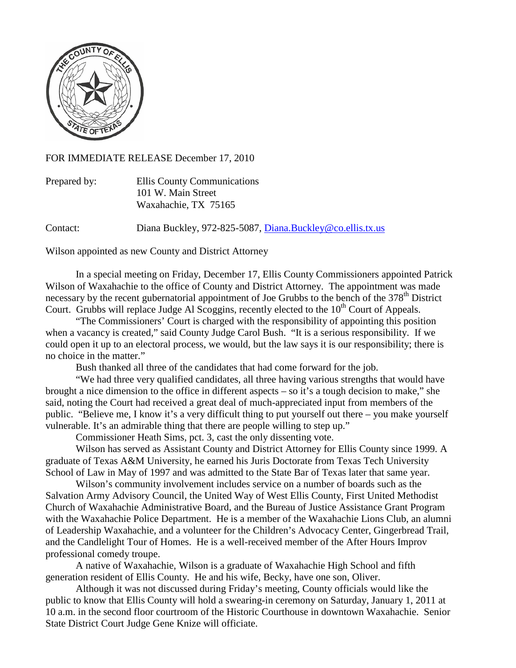

FOR IMMEDIATE RELEASE December 17, 2010

| Prepared by: | Ellis County Communications |
|--------------|-----------------------------|
|              | 101 W. Main Street          |
|              | Waxahachie, TX 75165        |

Contact: Diana Buckley, 972-825-5087, [Diana.Buckley@co.ellis.tx.us](mailto:Diana.Buckley@co.ellis.tx.us)

Wilson appointed as new County and District Attorney

In a special meeting on Friday, December 17, Ellis County Commissioners appointed Patrick Wilson of Waxahachie to the office of County and District Attorney. The appointment was made necessary by the recent gubernatorial appointment of Joe Grubbs to the bench of the 378<sup>th</sup> District Court. Grubbs will replace Judge Al Scoggins, recently elected to the  $10<sup>th</sup>$  Court of Appeals.

"The Commissioners' Court is charged with the responsibility of appointing this position when a vacancy is created," said County Judge Carol Bush. "It is a serious responsibility. If we could open it up to an electoral process, we would, but the law says it is our responsibility; there is no choice in the matter."

Bush thanked all three of the candidates that had come forward for the job.

"We had three very qualified candidates, all three having various strengths that would have brought a nice dimension to the office in different aspects – so it's a tough decision to make," she said, noting the Court had received a great deal of much-appreciated input from members of the public. "Believe me, I know it's a very difficult thing to put yourself out there – you make yourself vulnerable. It's an admirable thing that there are people willing to step up."

Commissioner Heath Sims, pct. 3, cast the only dissenting vote.

Wilson has served as Assistant County and District Attorney for Ellis County since 1999. A graduate of Texas A&M University, he earned his Juris Doctorate from Texas Tech University School of Law in May of 1997 and was admitted to the State Bar of Texas later that same year.

Wilson's community involvement includes service on a number of boards such as the Salvation Army Advisory Council, the United Way of West Ellis County, First United Methodist Church of Waxahachie Administrative Board, and the Bureau of Justice Assistance Grant Program with the Waxahachie Police Department. He is a member of the Waxahachie Lions Club, an alumni of Leadership Waxahachie, and a volunteer for the Children's Advocacy Center, Gingerbread Trail, and the Candlelight Tour of Homes. He is a well-received member of the After Hours Improv professional comedy troupe.

A native of Waxahachie, Wilson is a graduate of Waxahachie High School and fifth generation resident of Ellis County. He and his wife, Becky, have one son, Oliver.

Although it was not discussed during Friday's meeting, County officials would like the public to know that Ellis County will hold a swearing-in ceremony on Saturday, January 1, 2011 at 10 a.m. in the second floor courtroom of the Historic Courthouse in downtown Waxahachie. Senior State District Court Judge Gene Knize will officiate.